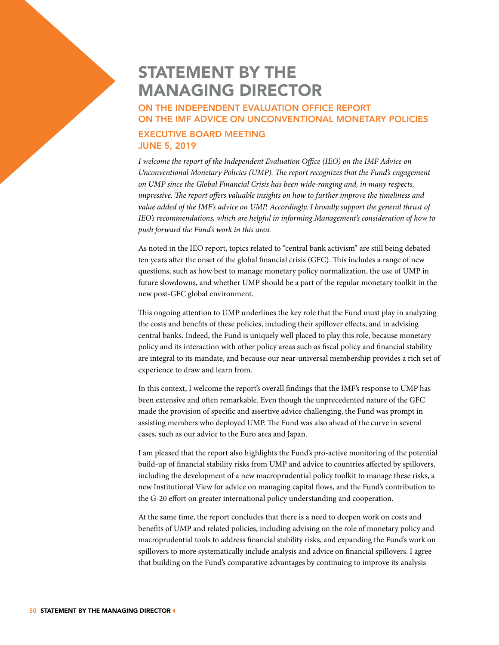## STATEMENT BY THE MANAGING DIRECTOR

## ON THE INDEPENDENT EVALUATION OFFICE REPORT ON THE IMF ADVICE ON UNCONVENTIONAL MONETARY POLICIES EXECUTIVE BOARD MEETING JUNE 5, 2019

*I welcome the report of the Independent Evaluation Office (IEO) on the IMF Advice on Unconventional Monetary Policies (UMP). The report recognizes that the Fund's engagement on UMP since the Global Financial Crisis has been wide-ranging and, in many respects, impressive. The report offers valuable insights on how to further improve the timeliness and value added of the IMF's advice on UMP. Accordingly, I broadly support the general thrust of IEO's recommendations, which are helpful in informing Management's consideration of how to push forward the Fund's work in this area.*

As noted in the IEO report, topics related to "central bank activism" are still being debated ten years after the onset of the global financial crisis (GFC). This includes a range of new questions, such as how best to manage monetary policy normalization, the use of UMP in future slowdowns, and whether UMP should be a part of the regular monetary toolkit in the new post-GFC global environment.

This ongoing attention to UMP underlines the key role that the Fund must play in analyzing the costs and benefits of these policies, including their spillover effects, and in advising central banks. Indeed, the Fund is uniquely well placed to play this role, because monetary policy and its interaction with other policy areas such as fiscal policy and financial stability are integral to its mandate, and because our near-universal membership provides a rich set of experience to draw and learn from.

In this context, I welcome the report's overall findings that the IMF's response to UMP has been extensive and often remarkable. Even though the unprecedented nature of the GFC made the provision of specific and assertive advice challenging, the Fund was prompt in assisting members who deployed UMP. The Fund was also ahead of the curve in several cases, such as our advice to the Euro area and Japan.

I am pleased that the report also highlights the Fund's pro-active monitoring of the potential build-up of financial stability risks from UMP and advice to countries affected by spillovers, including the development of a new macroprudential policy toolkit to manage these risks, a new Institutional View for advice on managing capital flows, and the Fund's contribution to the G-20 effort on greater international policy understanding and cooperation.

At the same time, the report concludes that there is a need to deepen work on costs and benefits of UMP and related policies, including advising on the role of monetary policy and macroprudential tools to address financial stability risks, and expanding the Fund's work on spillovers to more systematically include analysis and advice on financial spillovers. I agree that building on the Fund's comparative advantages by continuing to improve its analysis

1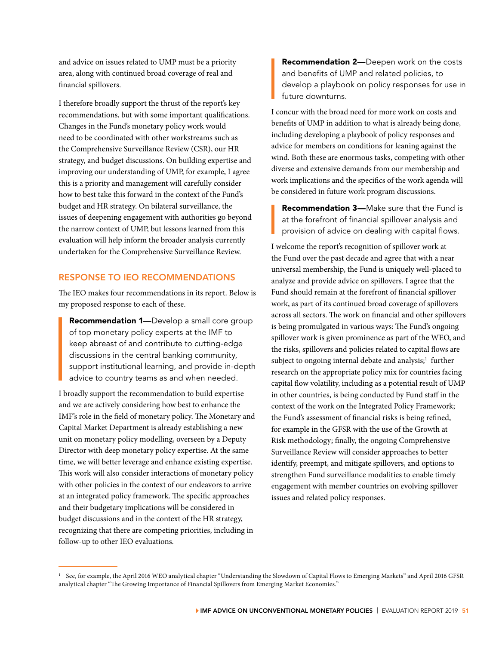and advice on issues related to UMP must be a priority area, along with continued broad coverage of real and financial spillovers.

I therefore broadly support the thrust of the report's key recommendations, but with some important qualifications. Changes in the Fund's monetary policy work would need to be coordinated with other workstreams such as the Comprehensive Surveillance Review (CSR), our HR strategy, and budget discussions. On building expertise and improving our understanding of UMP, for example, I agree this is a priority and management will carefully consider how to best take this forward in the context of the Fund's budget and HR strategy. On bilateral surveillance, the issues of deepening engagement with authorities go beyond the narrow context of UMP, but lessons learned from this evaluation will help inform the broader analysis currently undertaken for the Comprehensive Surveillance Review.

## RESPONSE TO IEO RECOMMENDATIONS

The IEO makes four recommendations in its report. Below is my proposed response to each of these.

Recommendation 1-Develop a small core group of top monetary policy experts at the IMF to keep abreast of and contribute to cutting-edge discussions in the central banking community, support institutional learning, and provide in-depth advice to country teams as and when needed.

I broadly support the recommendation to build expertise and we are actively considering how best to enhance the IMF's role in the field of monetary policy. The Monetary and Capital Market Department is already establishing a new unit on monetary policy modelling, overseen by a Deputy Director with deep monetary policy expertise. At the same time, we will better leverage and enhance existing expertise. This work will also consider interactions of monetary policy with other policies in the context of our endeavors to arrive at an integrated policy framework. The specific approaches and their budgetary implications will be considered in budget discussions and in the context of the HR strategy, recognizing that there are competing priorities, including in follow-up to other IEO evaluations.

Recommendation 2-Deepen work on the costs and benefits of UMP and related policies, to develop a playbook on policy responses for use in future downturns.

I concur with the broad need for more work on costs and benefits of UMP in addition to what is already being done, including developing a playbook of policy responses and advice for members on conditions for leaning against the wind. Both these are enormous tasks, competing with other diverse and extensive demands from our membership and work implications and the specifics of the work agenda will be considered in future work program discussions.

Recommendation 3—Make sure that the Fund is at the forefront of financial spillover analysis and provision of advice on dealing with capital flows.

I welcome the report's recognition of spillover work at the Fund over the past decade and agree that with a near universal membership, the Fund is uniquely well-placed to analyze and provide advice on spillovers. I agree that the Fund should remain at the forefront of financial spillover work, as part of its continued broad coverage of spillovers across all sectors. The work on financial and other spillovers is being promulgated in various ways: The Fund's ongoing spillover work is given prominence as part of the WEO, and the risks, spillovers and policies related to capital flows are subject to ongoing internal debate and analysis;<sup>1</sup> further research on the appropriate policy mix for countries facing capital flow volatility, including as a potential result of UMP in other countries, is being conducted by Fund staff in the context of the work on the Integrated Policy Framework; the Fund's assessment of financial risks is being refined, for example in the GFSR with the use of the Growth at Risk methodology; finally, the ongoing Comprehensive Surveillance Review will consider approaches to better identify, preempt, and mitigate spillovers, and options to strengthen Fund surveillance modalities to enable timely engagement with member countries on evolving spillover issues and related policy responses.

<sup>1</sup> See, for example, the April 2016 WEO analytical chapter "Understanding the Slowdown of Capital Flows to Emerging Markets" and April 2016 GFSR analytical chapter "The Growing Importance of Financial Spillovers from Emerging Market Economies."